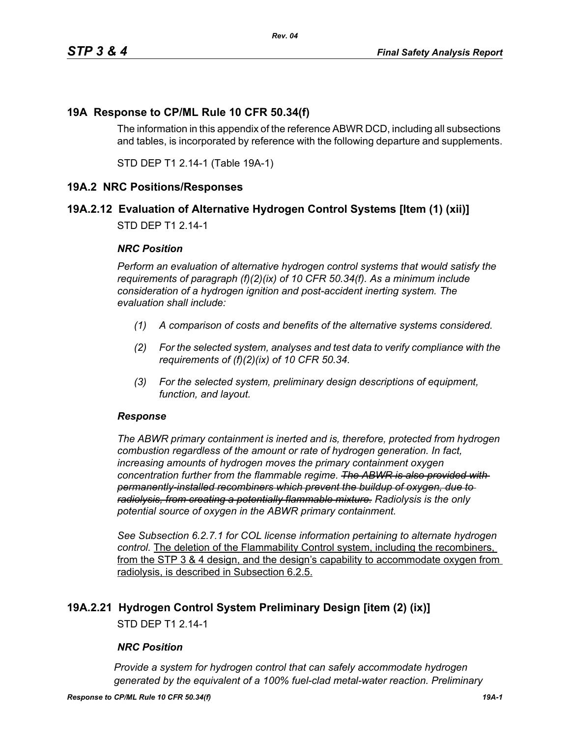## **19A Response to CP/ML Rule 10 CFR 50.34(f)**

The information in this appendix of the reference ABWR DCD, including all subsections and tables, is incorporated by reference with the following departure and supplements.

STD DEP T1 2.14-1 (Table 19A-1)

#### **19A.2 NRC Positions/Responses**

## **19A.2.12 Evaluation of Alternative Hydrogen Control Systems [Item (1) (xii)]**

STD DEP T1 2.14-1

#### *NRC Position*

*Perform an evaluation of alternative hydrogen control systems that would satisfy the requirements of paragraph (f)(2)(ix) of 10 CFR 50.34(f). As a minimum include consideration of a hydrogen ignition and post-accident inerting system. The evaluation shall include:*

- *(1) A comparison of costs and benefits of the alternative systems considered.*
- *(2) For the selected system, analyses and test data to verify compliance with the requirements of (f)(2)(ix) of 10 CFR 50.34.*
- *(3) For the selected system, preliminary design descriptions of equipment, function, and layout.*

#### *Response*

*The ABWR primary containment is inerted and is, therefore, protected from hydrogen combustion regardless of the amount or rate of hydrogen generation. In fact, increasing amounts of hydrogen moves the primary containment oxygen concentration further from the flammable regime. The ABWR is also provided with permanently-installed recombiners which prevent the buildup of oxygen, due to radiolysis, from creating a potentially flammable mixture. Radiolysis is the only potential source of oxygen in the ABWR primary containment.*

*See Subsection 6.2.7.1 for COL license information pertaining to alternate hydrogen control.* The deletion of the Flammability Control system, including the recombiners, from the STP 3 & 4 design, and the design's capability to accommodate oxygen from radiolysis, is described in Subsection 6.2.5.

#### **19A.2.21 Hydrogen Control System Preliminary Design [item (2) (ix)]**

STD DEP T1 2.14-1

#### *NRC Position*

*Provide a system for hydrogen control that can safely accommodate hydrogen generated by the equivalent of a 100% fuel-clad metal-water reaction. Preliminary*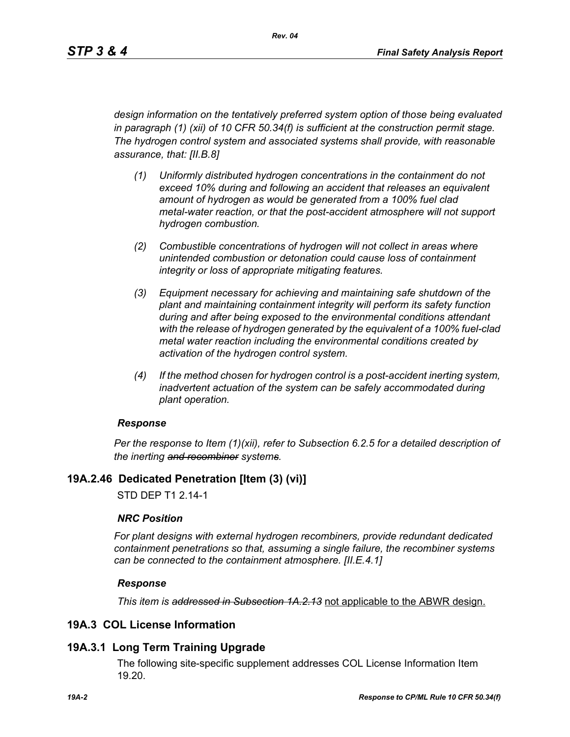*design information on the tentatively preferred system option of those being evaluated in paragraph (1) (xii) of 10 CFR 50.34(f) is sufficient at the construction permit stage. The hydrogen control system and associated systems shall provide, with reasonable assurance, that: [II.B.8]*

- *(1) Uniformly distributed hydrogen concentrations in the containment do not exceed 10% during and following an accident that releases an equivalent amount of hydrogen as would be generated from a 100% fuel clad metal-water reaction, or that the post-accident atmosphere will not support hydrogen combustion.*
- *(2) Combustible concentrations of hydrogen will not collect in areas where unintended combustion or detonation could cause loss of containment integrity or loss of appropriate mitigating features.*
- *(3) Equipment necessary for achieving and maintaining safe shutdown of the plant and maintaining containment integrity will perform its safety function during and after being exposed to the environmental conditions attendant with the release of hydrogen generated by the equivalent of a 100% fuel-clad metal water reaction including the environmental conditions created by activation of the hydrogen control system.*
- *(4) If the method chosen for hydrogen control is a post-accident inerting system, inadvertent actuation of the system can be safely accommodated during plant operation.*

#### *Response*

*Per the response to Item (1)(xii), refer to Subsection 6.2.5 for a detailed description of the inerting and recombiner systems.*

## **19A.2.46 Dedicated Penetration [Item (3) (vi)]**

STD DEP T1 2.14-1

#### *NRC Position*

*For plant designs with external hydrogen recombiners, provide redundant dedicated containment penetrations so that, assuming a single failure, the recombiner systems can be connected to the containment atmosphere. [II.E.4.1]*

#### *Response*

*This item is addressed in Subsection 1A.2.13* not applicable to the ABWR design.

## **19A.3 COL License Information**

## **19A.3.1 Long Term Training Upgrade**

The following site-specific supplement addresses COL License Information Item 19.20.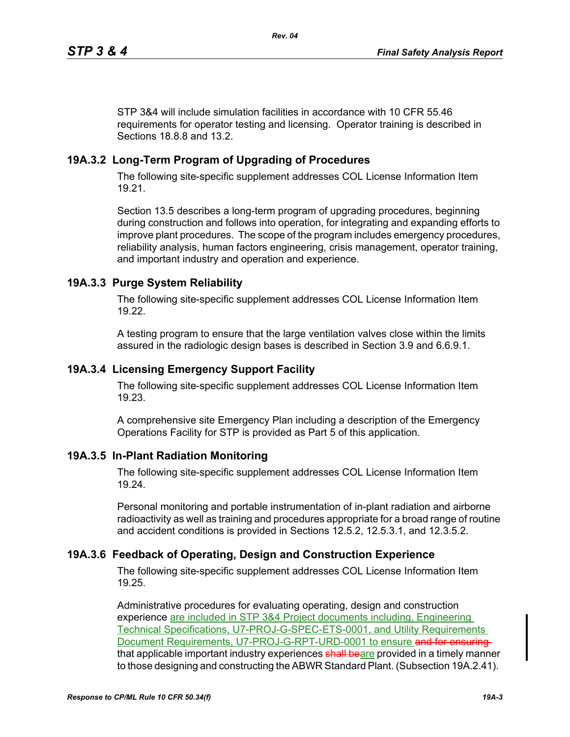STP 3&4 will include simulation facilities in accordance with 10 CFR 55.46 requirements for operator testing and licensing. Operator training is described in Sections 18.8.8 and 13.2.

# **19A.3.2 Long-Term Program of Upgrading of Procedures**

The following site-specific supplement addresses COL License Information Item 19.21.

Section 13.5 describes a long-term program of upgrading procedures, beginning during construction and follows into operation, for integrating and expanding efforts to improve plant procedures. The scope of the program includes emergency procedures, reliability analysis, human factors engineering, crisis management, operator training, and important industry and operation and experience.

# **19A.3.3 Purge System Reliability**

The following site-specific supplement addresses COL License Information Item 19.22.

A testing program to ensure that the large ventilation valves close within the limits assured in the radiologic design bases is described in Section 3.9 and 6.6.9.1.

## **19A.3.4 Licensing Emergency Support Facility**

The following site-specific supplement addresses COL License Information Item 19.23.

A comprehensive site Emergency Plan including a description of the Emergency Operations Facility for STP is provided as Part 5 of this application.

## **19A.3.5 In-Plant Radiation Monitoring**

The following site-specific supplement addresses COL License Information Item 19.24.

Personal monitoring and portable instrumentation of in-plant radiation and airborne radioactivity as well as training and procedures appropriate for a broad range of routine and accident conditions is provided in Sections 12.5.2, 12.5.3.1, and 12.3.5.2.

## **19A.3.6 Feedback of Operating, Design and Construction Experience**

The following site-specific supplement addresses COL License Information Item 19.25.

Administrative procedures for evaluating operating, design and construction experience are included in STP 3&4 Project documents including, Engineering Technical Specifications, U7-PROJ-G-SPEC-ETS-0001, and Utility Requirements Document Requirements, U7-PROJ-G-RPT-URD-0001 to ensure and for ensuringthat applicable important industry experiences shall beare provided in a timely manner to those designing and constructing the ABWR Standard Plant. (Subsection 19A.2.41).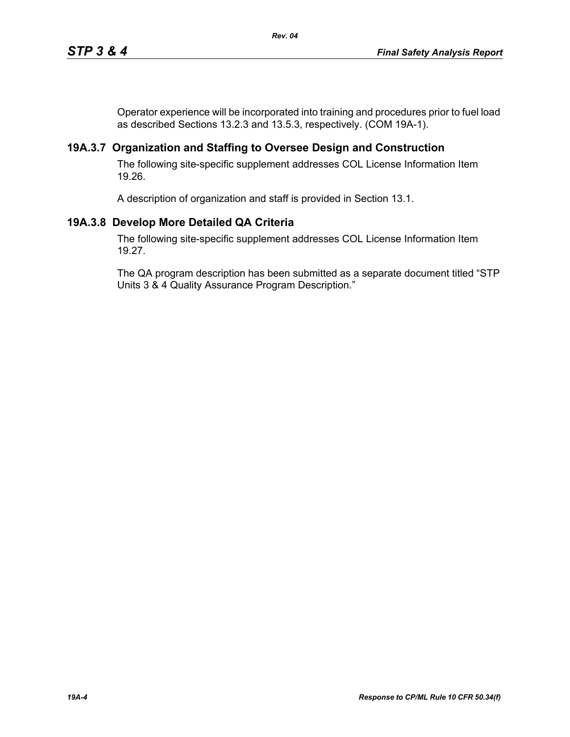Operator experience will be incorporated into training and procedures prior to fuel load as described Sections 13.2.3 and 13.5.3, respectively. (COM 19A-1).

## **19A.3.7 Organization and Staffing to Oversee Design and Construction**

The following site-specific supplement addresses COL License Information Item 19.26.

A description of organization and staff is provided in Section 13.1.

## **19A.3.8 Develop More Detailed QA Criteria**

The following site-specific supplement addresses COL License Information Item 19.27.

The QA program description has been submitted as a separate document titled "STP Units 3 & 4 Quality Assurance Program Description."